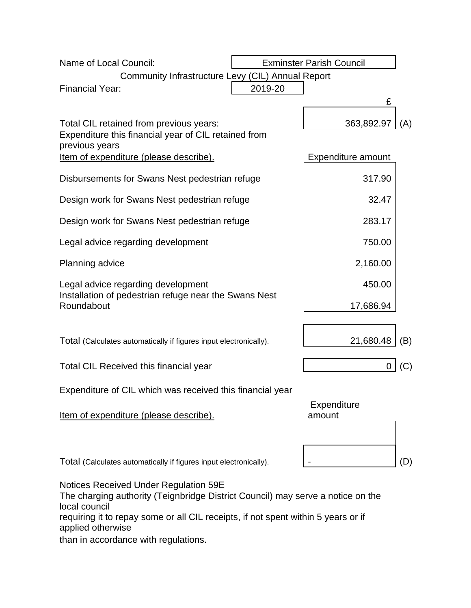| Name of Local Council:                                                                                                                    | <b>Exminster Parish Council</b> |                       |     |
|-------------------------------------------------------------------------------------------------------------------------------------------|---------------------------------|-----------------------|-----|
| Community Infrastructure Levy (CIL) Annual Report                                                                                         |                                 |                       |     |
| <b>Financial Year:</b>                                                                                                                    | 2019-20                         |                       |     |
|                                                                                                                                           |                                 | £                     |     |
| Total CIL retained from previous years:                                                                                                   |                                 | 363,892.97            | (A) |
| Expenditure this financial year of CIL retained from<br>previous years                                                                    |                                 |                       |     |
| Item of expenditure (please describe).                                                                                                    |                                 | Expenditure amount    |     |
| Disbursements for Swans Nest pedestrian refuge                                                                                            |                                 | 317.90                |     |
| Design work for Swans Nest pedestrian refuge                                                                                              |                                 | 32.47                 |     |
| Design work for Swans Nest pedestrian refuge                                                                                              |                                 | 283.17                |     |
| Legal advice regarding development                                                                                                        |                                 | 750.00                |     |
| Planning advice                                                                                                                           |                                 | 2,160.00              |     |
| Legal advice regarding development<br>Installation of pedestrian refuge near the Swans Nest<br>Roundabout                                 |                                 | 450.00                |     |
|                                                                                                                                           |                                 | 17,686.94             |     |
|                                                                                                                                           |                                 |                       |     |
| Total (Calculates automatically if figures input electronically).                                                                         |                                 | 21,680.48             | (B) |
| <b>Total CIL Received this financial year</b>                                                                                             |                                 |                       | (C) |
| Expenditure of CIL which was received this financial year                                                                                 |                                 |                       |     |
| <u>Item of expenditure (please describe).</u>                                                                                             |                                 | Expenditure<br>amount |     |
|                                                                                                                                           |                                 |                       |     |
|                                                                                                                                           |                                 |                       |     |
| Total (Calculates automatically if figures input electronically).                                                                         |                                 |                       | (D) |
| Notices Received Under Regulation 59E<br>The charging authority (Teignbridge District Council) may serve a notice on the<br>local council |                                 |                       |     |
| requiring it to repay some or all CIL receipts, if not spent within 5 years or if<br>applied otherwise                                    |                                 |                       |     |

than in accordance with regulations.